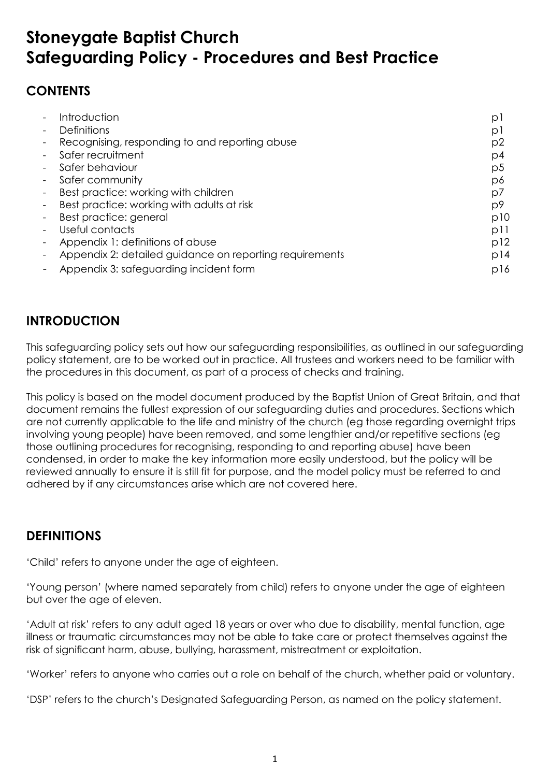# **Stoneygate Baptist Church Safeguarding Policy - Procedures and Best Practice**

## **CONTENTS**

| Introduction                                            | р   |
|---------------------------------------------------------|-----|
| <b>Definitions</b>                                      | р   |
| Recognising, responding to and reporting abuse          | p2  |
| Safer recruitment                                       | p4  |
| Safer behaviour                                         | p5  |
| Safer community                                         | p6  |
| Best practice: working with children                    | p7  |
| Best practice: working with adults at risk              | p9  |
| Best practice: general                                  | p10 |
| Useful contacts                                         | pll |
| Appendix 1: definitions of abuse                        | p12 |
| Appendix 2: detailed guidance on reporting requirements | p14 |
| Appendix 3: safeguarding incident form                  | p16 |

## **INTRODUCTION**

This safeguarding policy sets out how our safeguarding responsibilities, as outlined in our safeguarding policy statement, are to be worked out in practice. All trustees and workers need to be familiar with the procedures in this document, as part of a process of checks and training.

This policy is based on the model document produced by the Baptist Union of Great Britain, and that document remains the fullest expression of our safeguarding duties and procedures. Sections which are not currently applicable to the life and ministry of the church (eg those regarding overnight trips involving young people) have been removed, and some lengthier and/or repetitive sections (eg those outlining procedures for recognising, responding to and reporting abuse) have been condensed, in order to make the key information more easily understood, but the policy will be reviewed annually to ensure it is still fit for purpose, and the model policy must be referred to and adhered by if any circumstances arise which are not covered here.

## **DEFINITIONS**

'Child' refers to anyone under the age of eighteen.

'Young person' (where named separately from child) refers to anyone under the age of eighteen but over the age of eleven.

'Adult at risk' refers to any adult aged 18 years or over who due to disability, mental function, age illness or traumatic circumstances may not be able to take care or protect themselves against the risk of significant harm, abuse, bullying, harassment, mistreatment or exploitation.

'Worker' refers to anyone who carries out a role on behalf of the church, whether paid or voluntary.

'DSP' refers to the church's Designated Safeguarding Person, as named on the policy statement.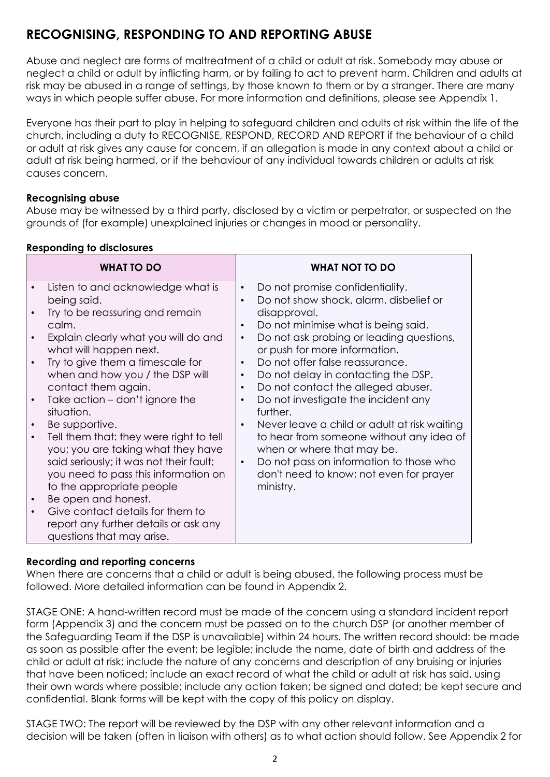## **RECOGNISING, RESPONDING TO AND REPORTING ABUSE**

Abuse and neglect are forms of maltreatment of a child or adult at risk. Somebody may abuse or neglect a child or adult by inflicting harm, or by failing to act to prevent harm. Children and adults at risk may be abused in a range of settings, by those known to them or by a stranger. There are many ways in which people suffer abuse. For more information and definitions, please see Appendix 1.

Everyone has their part to play in helping to safeguard children and adults at risk within the life of the church, including a duty to RECOGNISE, RESPOND, RECORD AND REPORT if the behaviour of a child or adult at risk gives any cause for concern, if an allegation is made in any context about a child or adult at risk being harmed, or if the behaviour of any individual towards children or adults at risk causes concern.

## **Recognising abuse**

Abuse may be witnessed by a third party, disclosed by a victim or perpetrator, or suspected on the grounds of (for example) unexplained injuries or changes in mood or personality.

|  |  | <b>Responding to disclosures</b> |
|--|--|----------------------------------|
|  |  |                                  |

| WHAT TO DO                                                                                                                                                                                                                                                                                                                                                                                                                                                                                                                                                                                                                                       | <b>WHAT NOT TO DO</b>                                                                                                                                                                                                                                                                                                                                                                                                                                                                                                                                                                                                                                                                                                                           |
|--------------------------------------------------------------------------------------------------------------------------------------------------------------------------------------------------------------------------------------------------------------------------------------------------------------------------------------------------------------------------------------------------------------------------------------------------------------------------------------------------------------------------------------------------------------------------------------------------------------------------------------------------|-------------------------------------------------------------------------------------------------------------------------------------------------------------------------------------------------------------------------------------------------------------------------------------------------------------------------------------------------------------------------------------------------------------------------------------------------------------------------------------------------------------------------------------------------------------------------------------------------------------------------------------------------------------------------------------------------------------------------------------------------|
| Listen to and acknowledge what is<br>being said.<br>Try to be reassuring and remain<br>calm.<br>Explain clearly what you will do and<br>what will happen next.<br>Try to give them a timescale for<br>when and how you / the DSP will<br>contact them again.<br>Take action – don't ignore the<br>situation.<br>Be supportive.<br>Tell them that: they were right to tell<br>$\bullet$<br>you; you are taking what they have<br>said seriously; it was not their fault;<br>you need to pass this information on<br>to the appropriate people<br>Be open and honest.<br>Give contact details for them to<br>report any further details or ask any | Do not promise confidentiality.<br>$\bullet$<br>Do not show shock, alarm, disbelief or<br>$\bullet$<br>disapproval.<br>Do not minimise what is being said.<br>$\bullet$<br>Do not ask probing or leading questions,<br>$\bullet$<br>or push for more information.<br>Do not offer false reassurance.<br>$\bullet$<br>Do not delay in contacting the DSP.<br>$\bullet$<br>Do not contact the alleged abuser.<br>$\bullet$<br>Do not investigate the incident any<br>$\bullet$<br>further.<br>Never leave a child or adult at risk waiting<br>$\bullet$<br>to hear from someone without any idea of<br>when or where that may be.<br>Do not pass on information to those who<br>$\bullet$<br>don't need to know; not even for prayer<br>ministry. |
| questions that may arise.                                                                                                                                                                                                                                                                                                                                                                                                                                                                                                                                                                                                                        |                                                                                                                                                                                                                                                                                                                                                                                                                                                                                                                                                                                                                                                                                                                                                 |

## **Recording and reporting concerns**

When there are concerns that a child or adult is being abused, the following process must be followed. More detailed information can be found in Appendix 2.

STAGE ONE: A hand-written record must be made of the concern using a standard incident report form (Appendix 3) and the concern must be passed on to the church DSP (or another member of the Safeguarding Team if the DSP is unavailable) within 24 hours. The written record should: be made as soon as possible after the event; be legible; include the name, date of birth and address of the child or adult at risk; include the nature of any concerns and description of any bruising or injuries that have been noticed; include an exact record of what the child or adult at risk has said, using their own words where possible; include any action taken; be signed and dated; be kept secure and confidential. Blank forms will be kept with the copy of this policy on display.

STAGE TWO: The report will be reviewed by the DSP with any other relevant information and a decision will be taken (often in liaison with others) as to what action should follow. See Appendix 2 for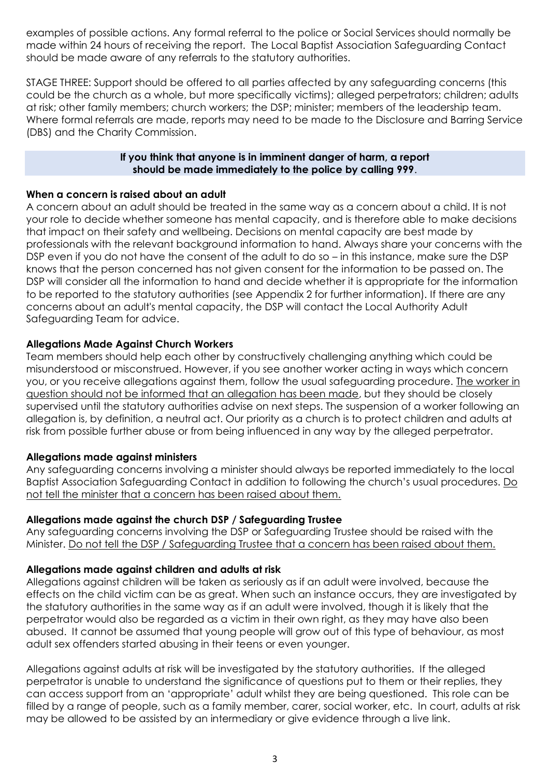examples of possible actions. Any formal referral to the police or Social Services should normally be made within 24 hours of receiving the report. The Local Baptist Association Safeguarding Contact should be made aware of any referrals to the statutory authorities.

STAGE THREE: Support should be offered to all parties affected by any safeguarding concerns (this could be the church as a whole, but more specifically victims); alleged perpetrators; children; adults at risk; other family members; church workers; the DSP; minister; members of the leadership team. Where formal referrals are made, reports may need to be made to the Disclosure and Barring Service (DBS) and the Charity Commission.

#### **If you think that anyone is in imminent danger of harm, a report should be made immediately to the police by calling 999**.

### **When a concern is raised about an adult**

A concern about an adult should be treated in the same way as a concern about a child. It is not your role to decide whether someone has mental capacity, and is therefore able to make decisions that impact on their safety and wellbeing. Decisions on mental capacity are best made by professionals with the relevant background information to hand. Always share your concerns with the DSP even if you do not have the consent of the adult to do so – in this instance, make sure the DSP knows that the person concerned has not given consent for the information to be passed on. The DSP will consider all the information to hand and decide whether it is appropriate for the information to be reported to the statutory authorities (see Appendix 2 for further information). If there are any concerns about an adult's mental capacity, the DSP will contact the Local Authority Adult Safeguarding Team for advice.

#### **Allegations Made Against Church Workers**

Team members should help each other by constructively challenging anything which could be misunderstood or misconstrued. However, if you see another worker acting in ways which concern you, or you receive allegations against them, follow the usual safeguarding procedure. The worker in question should not be informed that an allegation has been made, but they should be closely supervised until the statutory authorities advise on next steps. The suspension of a worker following an allegation is, by definition, a neutral act. Our priority as a church is to protect children and adults at risk from possible further abuse or from being influenced in any way by the alleged perpetrator.

#### **Allegations made against ministers**

Any safeguarding concerns involving a minister should always be reported immediately to the local Baptist Association Safeguarding Contact in addition to following the church's usual procedures. Do not tell the minister that a concern has been raised about them.

#### **Allegations made against the church DSP / Safeguarding Trustee**

Any safeguarding concerns involving the DSP or Safeguarding Trustee should be raised with the Minister. Do not tell the DSP / Safeguarding Trustee that a concern has been raised about them.

#### **Allegations made against children and adults at risk**

Allegations against children will be taken as seriously as if an adult were involved, because the effects on the child victim can be as great. When such an instance occurs, they are investigated by the statutory authorities in the same way as if an adult were involved, though it is likely that the perpetrator would also be regarded as a victim in their own right, as they may have also been abused. It cannot be assumed that young people will grow out of this type of behaviour, as most adult sex offenders started abusing in their teens or even younger.

Allegations against adults at risk will be investigated by the statutory authorities. If the alleged perpetrator is unable to understand the significance of questions put to them or their replies, they can access support from an 'appropriate' adult whilst they are being questioned. This role can be filled by a range of people, such as a family member, carer, social worker, etc. In court, adults at risk may be allowed to be assisted by an intermediary or give evidence through a live link.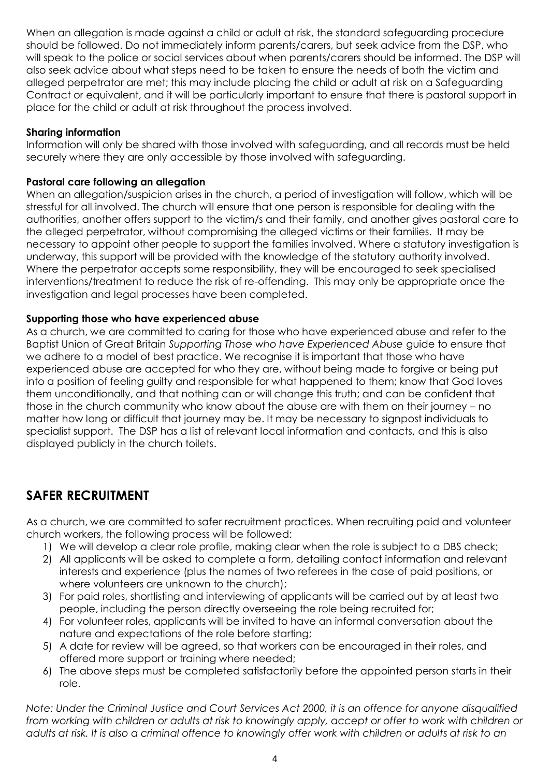When an allegation is made against a child or adult at risk, the standard safeguarding procedure should be followed. Do not immediately inform parents/carers, but seek advice from the DSP, who will speak to the police or social services about when parents/carers should be informed. The DSP will also seek advice about what steps need to be taken to ensure the needs of both the victim and alleged perpetrator are met; this may include placing the child or adult at risk on a Safeguarding Contract or equivalent, and it will be particularly important to ensure that there is pastoral support in place for the child or adult at risk throughout the process involved.

## **Sharing information**

Information will only be shared with those involved with safeguarding, and all records must be held securely where they are only accessible by those involved with safeguarding.

### **Pastoral care following an allegation**

When an allegation/suspicion arises in the church, a period of investigation will follow, which will be stressful for all involved. The church will ensure that one person is responsible for dealing with the authorities, another offers support to the victim/s and their family, and another gives pastoral care to the alleged perpetrator, without compromising the alleged victims or their families. It may be necessary to appoint other people to support the families involved. Where a statutory investigation is underway, this support will be provided with the knowledge of the statutory authority involved. Where the perpetrator accepts some responsibility, they will be encouraged to seek specialised interventions/treatment to reduce the risk of re-offending. This may only be appropriate once the investigation and legal processes have been completed.

## **Supporting those who have experienced abuse**

As a church, we are committed to caring for those who have experienced abuse and refer to the Baptist Union of Great Britain *Supporting Those who have Experienced Abuse* guide to ensure that we adhere to a model of best practice. We recognise it is important that those who have experienced abuse are accepted for who they are, without being made to forgive or being put into a position of feeling guilty and responsible for what happened to them; know that God loves them unconditionally, and that nothing can or will change this truth; and can be confident that those in the church community who know about the abuse are with them on their journey – no matter how long or difficult that journey may be. It may be necessary to signpost individuals to specialist support. The DSP has a list of relevant local information and contacts, and this is also displayed publicly in the church toilets.

## **SAFER RECRUITMENT**

As a church, we are committed to safer recruitment practices. When recruiting paid and volunteer church workers, the following process will be followed:

- 1) We will develop a clear role profile, making clear when the role is subject to a DBS check;
- 2) All applicants will be asked to complete a form, detailing contact information and relevant interests and experience (plus the names of two referees in the case of paid positions, or where volunteers are unknown to the church);
- 3) For paid roles, shortlisting and interviewing of applicants will be carried out by at least two people, including the person directly overseeing the role being recruited for;
- 4) For volunteer roles, applicants will be invited to have an informal conversation about the nature and expectations of the role before starting;
- 5) A date for review will be agreed, so that workers can be encouraged in their roles, and offered more support or training where needed;
- 6) The above steps must be completed satisfactorily before the appointed person starts in their role.

*Note: Under the Criminal Justice and Court Services Act 2000, it is an offence for anyone disqualified from working with children or adults at risk to knowingly apply, accept or offer to work with children or*  adults at risk. It is also a criminal offence to knowingly offer work with children or adults at risk to an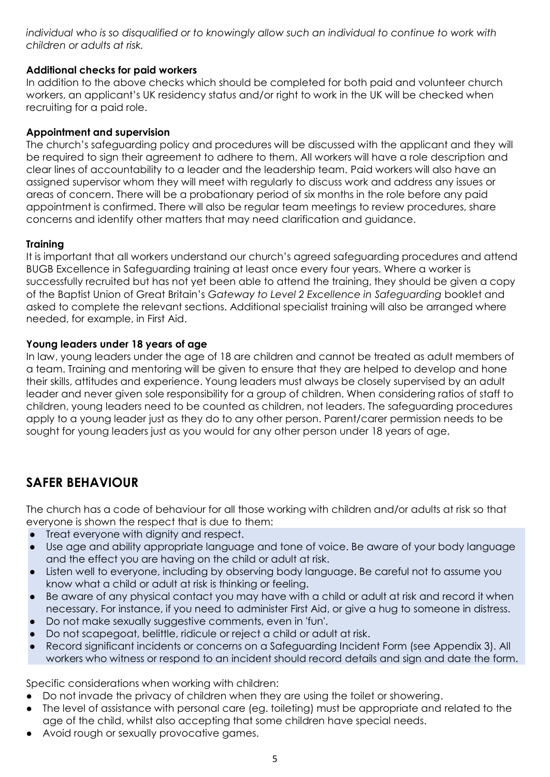*individual who is so disqualified or to knowingly allow such an individual to continue to work with children or adults at risk.*

### **Additional checks for paid workers**

In addition to the above checks which should be completed for both paid and volunteer church workers, an applicant's UK residency status and/or right to work in the UK will be checked when recruiting for a paid role.

## **Appointment and supervision**

The church's safeguarding policy and procedures will be discussed with the applicant and they will be required to sign their agreement to adhere to them. All workers will have a role description and clear lines of accountability to a leader and the leadership team. Paid workers will also have an assigned supervisor whom they will meet with regularly to discuss work and address any issues or areas of concern. There will be a probationary period of six months in the role before any paid appointment is confirmed. There will also be regular team meetings to review procedures, share concerns and identify other matters that may need clarification and guidance.

## **Training**

It is important that all workers understand our church's agreed safeguarding procedures and attend BUGB Excellence in Safeguarding training at least once every four years. Where a worker is successfully recruited but has not yet been able to attend the training, they should be given a copy of the Baptist Union of Great Britain's *Gateway to Level 2 Excellence in Safeguarding* booklet and asked to complete the relevant sections. Additional specialist training will also be arranged where needed, for example, in First Aid.

#### **Young leaders under 18 years of age**

In law, young leaders under the age of 18 are children and cannot be treated as adult members of a team. Training and mentoring will be given to ensure that they are helped to develop and hone their skills, attitudes and experience. Young leaders must always be closely supervised by an adult leader and never given sole responsibility for a group of children. When considering ratios of staff to children, young leaders need to be counted as children, not leaders. The safeguarding procedures apply to a young leader just as they do to any other person. Parent/carer permission needs to be sought for young leaders just as you would for any other person under 18 years of age.

## **SAFER BEHAVIOUR**

The church has a code of behaviour for all those working with children and/or adults at risk so that everyone is shown the respect that is due to them:

- Treat everyone with dignity and respect.
- Use age and ability appropriate language and tone of voice. Be aware of your body language and the effect you are having on the child or adult at risk.
- Listen well to everyone, including by observing body language. Be careful not to assume you know what a child or adult at risk is thinking or feeling.
- Be aware of any physical contact you may have with a child or adult at risk and record it when necessary. For instance, if you need to administer First Aid, or give a hug to someone in distress.
- Do not make sexually suggestive comments, even in 'fun'.
- Do not scapegoat, belittle, ridicule or reject a child or adult at risk.
- Record significant incidents or concerns on a Safeguarding Incident Form (see Appendix 3). All workers who witness or respond to an incident should record details and sign and date the form.

Specific considerations when working with children:

- Do not invade the privacy of children when they are using the toilet or showering.
- The level of assistance with personal care (eg. toileting) must be appropriate and related to the age of the child, whilst also accepting that some children have special needs.
- Avoid rough or sexually provocative games.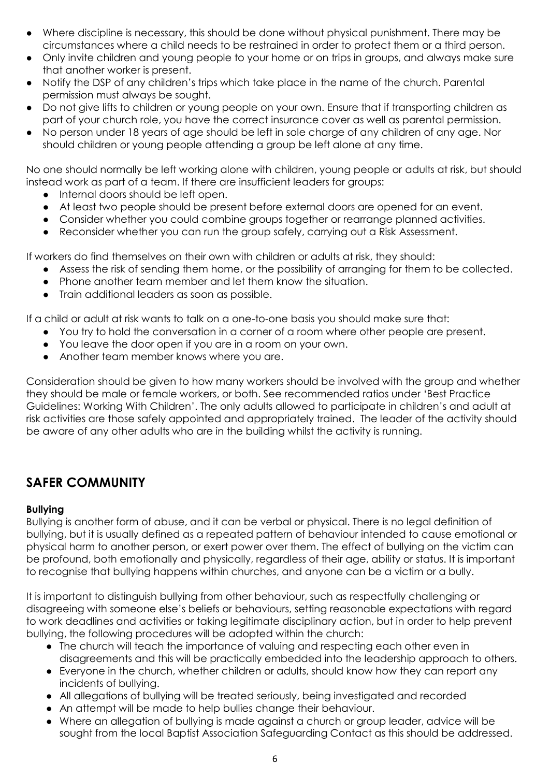- Where discipline is necessary, this should be done without physical punishment. There may be circumstances where a child needs to be restrained in order to protect them or a third person.
- Only invite children and young people to your home or on trips in groups, and always make sure that another worker is present.
- Notify the DSP of any children's trips which take place in the name of the church. Parental permission must always be sought.
- Do not give lifts to children or young people on your own. Ensure that if transporting children as part of your church role, you have the correct insurance cover as well as parental permission.
- No person under 18 years of age should be left in sole charge of any children of any age. Nor should children or young people attending a group be left alone at any time.

No one should normally be left working alone with children, young people or adults at risk, but should instead work as part of a team. If there are insufficient leaders for groups:

- Internal doors should be left open.
- At least two people should be present before external doors are opened for an event.
- Consider whether you could combine groups together or rearrange planned activities.
- Reconsider whether you can run the group safely, carrying out a Risk Assessment.

If workers do find themselves on their own with children or adults at risk, they should:

- Assess the risk of sending them home, or the possibility of arranging for them to be collected.
- Phone another team member and let them know the situation.
- Train additional leaders as soon as possible.

If a child or adult at risk wants to talk on a one-to-one basis you should make sure that:

- You try to hold the conversation in a corner of a room where other people are present.
- You leave the door open if you are in a room on your own.
- Another team member knows where you are.

Consideration should be given to how many workers should be involved with the group and whether they should be male or female workers, or both. See recommended ratios under 'Best Practice Guidelines: Working With Children'. The only adults allowed to participate in children's and adult at risk activities are those safely appointed and appropriately trained. The leader of the activity should be aware of any other adults who are in the building whilst the activity is running.

## **SAFER COMMUNITY**

#### **Bullying**

Bullying is another form of abuse, and it can be verbal or physical. There is no legal definition of bullying, but it is usually defined as a repeated pattern of behaviour intended to cause emotional or physical harm to another person, or exert power over them. The effect of bullying on the victim can be profound, both emotionally and physically, regardless of their age, ability or status. It is important to recognise that bullying happens within churches, and anyone can be a victim or a bully.

It is important to distinguish bullying from other behaviour, such as respectfully challenging or disagreeing with someone else's beliefs or behaviours, setting reasonable expectations with regard to work deadlines and activities or taking legitimate disciplinary action, but in order to help prevent bullying, the following procedures will be adopted within the church:

- The church will teach the importance of valuing and respecting each other even in disagreements and this will be practically embedded into the leadership approach to others.
- Everyone in the church, whether children or adults, should know how they can report any incidents of bullying.
- All allegations of bullying will be treated seriously, being investigated and recorded
- An attempt will be made to help bullies change their behaviour.
- Where an allegation of bullying is made against a church or group leader, advice will be sought from the local Baptist Association Safeguarding Contact as this should be addressed.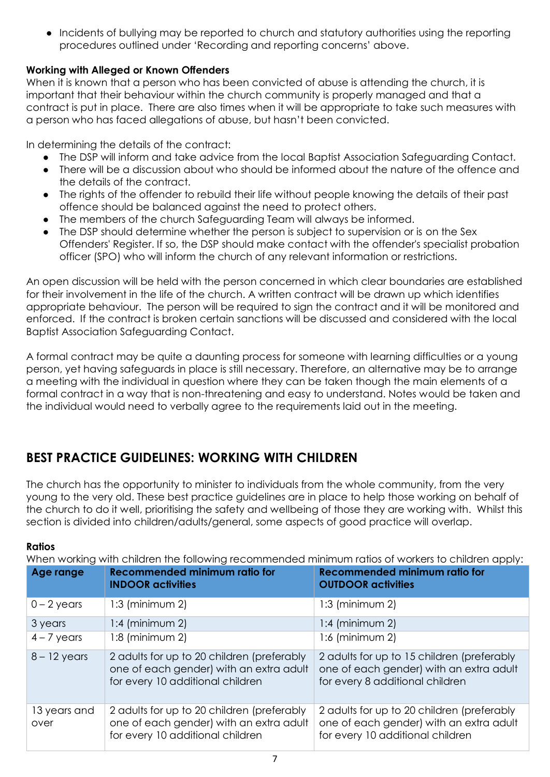• Incidents of bullying may be reported to church and statutory authorities using the reporting procedures outlined under 'Recording and reporting concerns' above.

## **Working with Alleged or Known Offenders**

When it is known that a person who has been convicted of abuse is attending the church, it is important that their behaviour within the church community is properly managed and that a contract is put in place. There are also times when it will be appropriate to take such measures with a person who has faced allegations of abuse, but hasn't been convicted.

In determining the details of the contract:

- The DSP will inform and take advice from the local Baptist Association Safeguarding Contact.
- There will be a discussion about who should be informed about the nature of the offence and the details of the contract.
- The rights of the offender to rebuild their life without people knowing the details of their past offence should be balanced against the need to protect others.
- The members of the church Safeguarding Team will always be informed.
- The DSP should determine whether the person is subject to supervision or is on the Sex Offenders' Register. If so, the DSP should make contact with the offender's specialist probation officer (SPO) who will inform the church of any relevant information or restrictions.

An open discussion will be held with the person concerned in which clear boundaries are established for their involvement in the life of the church. A written contract will be drawn up which identifies appropriate behaviour. The person will be required to sign the contract and it will be monitored and enforced. If the contract is broken certain sanctions will be discussed and considered with the local Baptist Association Safeguarding Contact.

A formal contract may be quite a daunting process for someone with learning difficulties or a young person, yet having safeguards in place is still necessary. Therefore, an alternative may be to arrange a meeting with the individual in question where they can be taken though the main elements of a formal contract in a way that is non-threatening and easy to understand. Notes would be taken and the individual would need to verbally agree to the requirements laid out in the meeting.

## **BEST PRACTICE GUIDELINES: WORKING WITH CHILDREN**

The church has the opportunity to minister to individuals from the whole community, from the very young to the very old. These best practice guidelines are in place to help those working on behalf of the church to do it well, prioritising the safety and wellbeing of those they are working with. Whilst this section is divided into children/adults/general, some aspects of good practice will overlap.

#### **Ratios**

When working with children the following recommended minimum ratios of workers to children apply:

| Age range            | <b>Recommended minimum ratio for</b><br><b>INDOOR activities</b>                                                          | <b>Recommended minimum ratio for</b><br><b>OUTDOOR activities</b>                                                         |
|----------------------|---------------------------------------------------------------------------------------------------------------------------|---------------------------------------------------------------------------------------------------------------------------|
| $0 - 2$ years        | $1:3$ (minimum 2)                                                                                                         | $1:3$ (minimum 2)                                                                                                         |
| 3 years              | $1:4$ (minimum 2)                                                                                                         | $1:4$ (minimum 2)                                                                                                         |
| $4 - 7$ years        | $1:8$ (minimum 2)                                                                                                         | $1:6$ (minimum 2)                                                                                                         |
| $8 - 12$ years       | 2 adults for up to 20 children (preferably<br>one of each gender) with an extra adult<br>for every 10 additional children | 2 adults for up to 15 children (preferably<br>one of each gender) with an extra adult<br>for every 8 additional children  |
| 13 years and<br>over | 2 adults for up to 20 children (preferably<br>one of each gender) with an extra adult<br>for every 10 additional children | 2 adults for up to 20 children (preferably<br>one of each gender) with an extra adult<br>for every 10 additional children |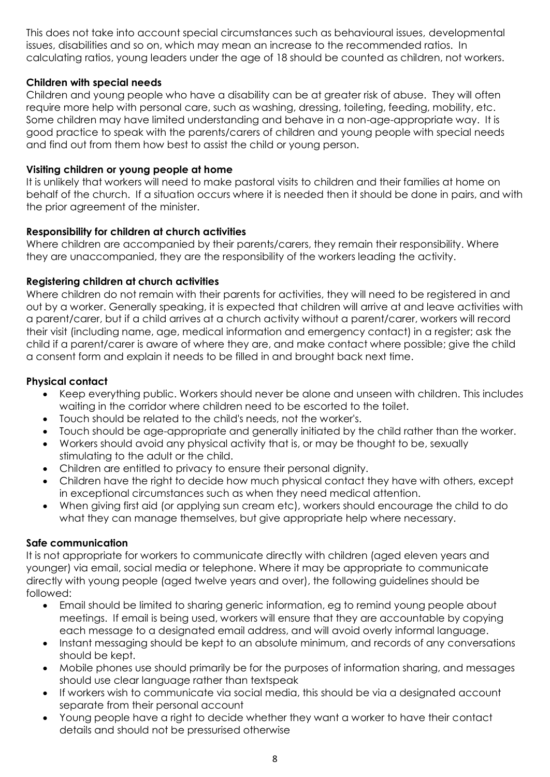This does not take into account special circumstances such as behavioural issues, developmental issues, disabilities and so on, which may mean an increase to the recommended ratios. In calculating ratios, young leaders under the age of 18 should be counted as children, not workers.

## **Children with special needs**

Children and young people who have a disability can be at greater risk of abuse. They will often require more help with personal care, such as washing, dressing, toileting, feeding, mobility, etc. Some children may have limited understanding and behave in a non-age-appropriate way. It is good practice to speak with the parents/carers of children and young people with special needs and find out from them how best to assist the child or young person.

## **Visiting children or young people at home**

It is unlikely that workers will need to make pastoral visits to children and their families at home on behalf of the church. If a situation occurs where it is needed then it should be done in pairs, and with the prior agreement of the minister.

## **Responsibility for children at church activities**

Where children are accompanied by their parents/carers, they remain their responsibility. Where they are unaccompanied, they are the responsibility of the workers leading the activity.

## **Registering children at church activities**

Where children do not remain with their parents for activities, they will need to be registered in and out by a worker. Generally speaking, it is expected that children will arrive at and leave activities with a parent/carer, but if a child arrives at a church activity without a parent/carer, workers will record their visit (including name, age, medical information and emergency contact) in a register; ask the child if a parent/carer is aware of where they are, and make contact where possible; give the child a consent form and explain it needs to be filled in and brought back next time.

## **Physical contact**

- Keep everything public. Workers should never be alone and unseen with children. This includes waiting in the corridor where children need to be escorted to the toilet.
- Touch should be related to the child's needs, not the worker's.
- Touch should be age-appropriate and generally initiated by the child rather than the worker.
- Workers should avoid any physical activity that is, or may be thought to be, sexually stimulating to the adult or the child.
- Children are entitled to privacy to ensure their personal dignity.
- Children have the right to decide how much physical contact they have with others, except in exceptional circumstances such as when they need medical attention.
- When giving first aid (or applying sun cream etc), workers should encourage the child to do what they can manage themselves, but give appropriate help where necessary.

#### **Safe communication**

It is not appropriate for workers to communicate directly with children (aged eleven years and younger) via email, social media or telephone. Where it may be appropriate to communicate directly with young people (aged twelve years and over), the following guidelines should be followed:

- Email should be limited to sharing generic information, eg to remind young people about meetings. If email is being used, workers will ensure that they are accountable by copying each message to a designated email address, and will avoid overly informal language.
- Instant messaging should be kept to an absolute minimum, and records of any conversations should be kept.
- Mobile phones use should primarily be for the purposes of information sharing, and messages should use clear language rather than textspeak
- If workers wish to communicate via social media, this should be via a designated account separate from their personal account
- Young people have a right to decide whether they want a worker to have their contact details and should not be pressurised otherwise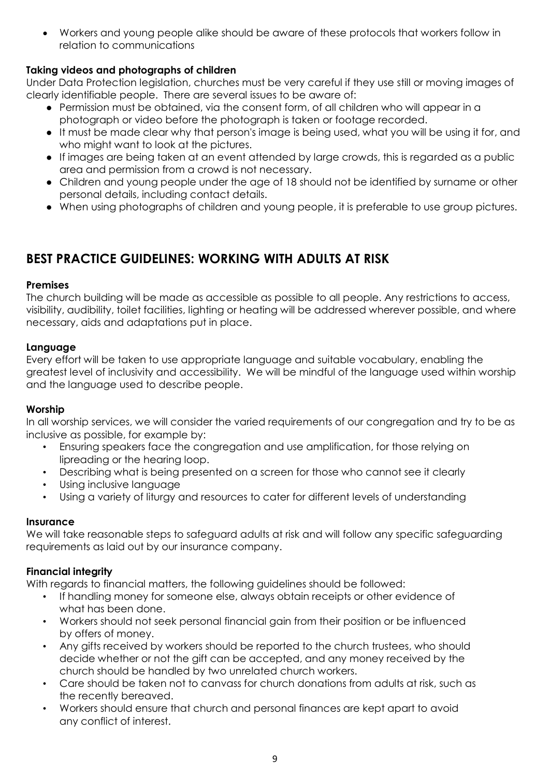Workers and young people alike should be aware of these protocols that workers follow in relation to communications

## **Taking videos and photographs of children**

Under Data Protection legislation, churches must be very careful if they use still or moving images of clearly identifiable people. There are several issues to be aware of:

- Permission must be obtained, via the consent form, of all children who will appear in a photograph or video before the photograph is taken or footage recorded.
- It must be made clear why that person's image is being used, what you will be using it for, and who might want to look at the pictures.
- If images are being taken at an event attended by large crowds, this is regarded as a public area and permission from a crowd is not necessary.
- Children and young people under the age of 18 should not be identified by surname or other personal details, including contact details.
- When using photographs of children and young people, it is preferable to use group pictures.

## **BEST PRACTICE GUIDELINES: WORKING WITH ADULTS AT RISK**

#### **Premises**

The church building will be made as accessible as possible to all people. Any restrictions to access, visibility, audibility, toilet facilities, lighting or heating will be addressed wherever possible, and where necessary, aids and adaptations put in place.

#### **Language**

Every effort will be taken to use appropriate language and suitable vocabulary, enabling the greatest level of inclusivity and accessibility. We will be mindful of the language used within worship and the language used to describe people.

#### **Worship**

In all worship services, we will consider the varied requirements of our congregation and try to be as inclusive as possible, for example by:

- Ensuring speakers face the congregation and use amplification, for those relying on lipreading or the hearing loop.
- Describing what is being presented on a screen for those who cannot see it clearly
- Using inclusive language
- Using a variety of liturgy and resources to cater for different levels of understanding

#### **Insurance**

We will take reasonable steps to safeguard adults at risk and will follow any specific safeguarding requirements as laid out by our insurance company.

#### **Financial integrity**

With regards to financial matters, the following guidelines should be followed:

- If handling money for someone else, always obtain receipts or other evidence of what has been done.
- Workers should not seek personal financial gain from their position or be influenced by offers of money.
- Any gifts received by workers should be reported to the church trustees, who should decide whether or not the gift can be accepted, and any money received by the church should be handled by two unrelated church workers.
- Care should be taken not to canvass for church donations from adults at risk, such as the recently bereaved.
- Workers should ensure that church and personal finances are kept apart to avoid any conflict of interest.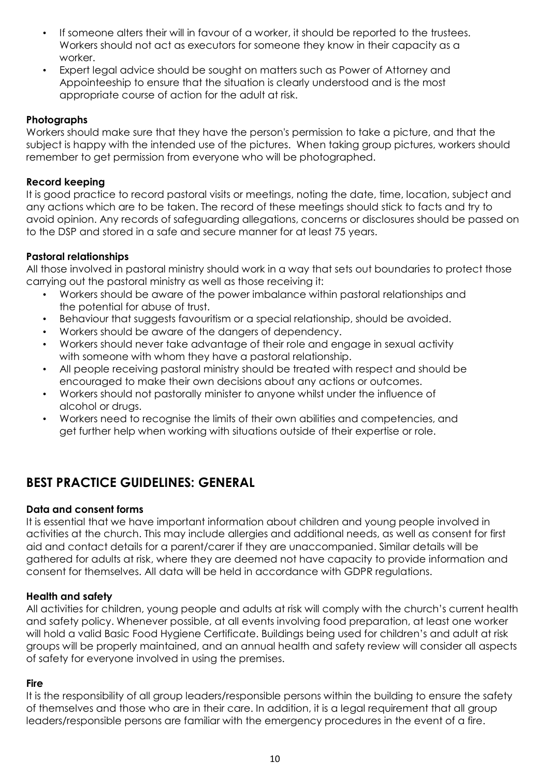- If someone alters their will in favour of a worker, it should be reported to the trustees. Workers should not act as executors for someone they know in their capacity as a worker.
- Expert legal advice should be sought on matters such as Power of Attorney and Appointeeship to ensure that the situation is clearly understood and is the most appropriate course of action for the adult at risk.

## **Photographs**

Workers should make sure that they have the person's permission to take a picture, and that the subject is happy with the intended use of the pictures. When taking group pictures, workers should remember to get permission from everyone who will be photographed.

#### **Record keeping**

It is good practice to record pastoral visits or meetings, noting the date, time, location, subject and any actions which are to be taken. The record of these meetings should stick to facts and try to avoid opinion. Any records of safeguarding allegations, concerns or disclosures should be passed on to the DSP and stored in a safe and secure manner for at least 75 years.

## **Pastoral relationships**

All those involved in pastoral ministry should work in a way that sets out boundaries to protect those carrying out the pastoral ministry as well as those receiving it:

- Workers should be aware of the power imbalance within pastoral relationships and the potential for abuse of trust.
- Behaviour that suggests favouritism or a special relationship, should be avoided.
- Workers should be aware of the dangers of dependency.
- Workers should never take advantage of their role and engage in sexual activity with someone with whom they have a pastoral relationship.
- All people receiving pastoral ministry should be treated with respect and should be encouraged to make their own decisions about any actions or outcomes.
- Workers should not pastorally minister to anyone whilst under the influence of alcohol or drugs.
- Workers need to recognise the limits of their own abilities and competencies, and get further help when working with situations outside of their expertise or role.

## **BEST PRACTICE GUIDELINES: GENERAL**

#### **Data and consent forms**

It is essential that we have important information about children and young people involved in activities at the church. This may include allergies and additional needs, as well as consent for first aid and contact details for a parent/carer if they are unaccompanied. Similar details will be gathered for adults at risk, where they are deemed not have capacity to provide information and consent for themselves. All data will be held in accordance with GDPR regulations.

#### **Health and safety**

All activities for children, young people and adults at risk will comply with the church's current health and safety policy. Whenever possible, at all events involving food preparation, at least one worker will hold a valid Basic Food Hygiene Certificate. Buildings being used for children's and adult at risk groups will be properly maintained, and an annual health and safety review will consider all aspects of safety for everyone involved in using the premises.

#### **Fire**

It is the responsibility of all group leaders/responsible persons within the building to ensure the safety of themselves and those who are in their care. In addition, it is a legal requirement that all group leaders/responsible persons are familiar with the emergency procedures in the event of a fire.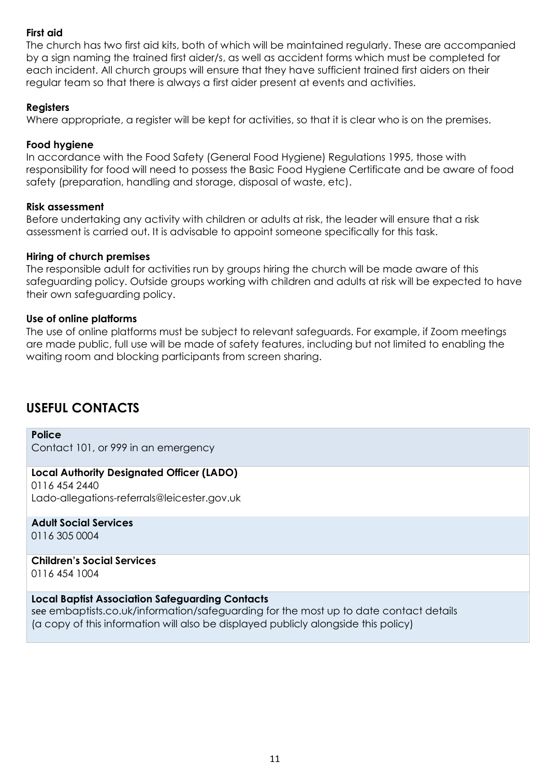#### **First aid**

The church has two first aid kits, both of which will be maintained regularly. These are accompanied by a sign naming the trained first aider/s, as well as accident forms which must be completed for each incident. All church groups will ensure that they have sufficient trained first aiders on their regular team so that there is always a first aider present at events and activities.

#### **Registers**

Where appropriate, a register will be kept for activities, so that it is clear who is on the premises.

#### **Food hygiene**

In accordance with the Food Safety (General Food Hygiene) Regulations 1995, those with responsibility for food will need to possess the Basic Food Hygiene Certificate and be aware of food safety (preparation, handling and storage, disposal of waste, etc).

#### **Risk assessment**

Before undertaking any activity with children or adults at risk, the leader will ensure that a risk assessment is carried out. It is advisable to appoint someone specifically for this task.

#### **Hiring of church premises**

The responsible adult for activities run by groups hiring the church will be made aware of this safeguarding policy. Outside groups working with children and adults at risk will be expected to have their own safeguarding policy.

#### **Use of online platforms**

The use of online platforms must be subject to relevant safeguards. For example, if Zoom meetings are made public, full use will be made of safety features, including but not limited to enabling the waiting room and blocking participants from screen sharing.

## **USEFUL CONTACTS**

#### **Police**

Contact 101, or 999 in an emergency

## **Local Authority Designated Officer (LADO)**

0116 454 2440 Lado-allegations-referrals@leicester.gov.uk

**Adult Social Services** 0116 305 0004

**Children's Social Services**  [0116 454 1004](tel:01164541004)

#### **Local Baptist Association Safeguarding Contacts**

see embaptists.co.uk/information/safeguarding for the most up to date contact details (a copy of this information will also be displayed publicly alongside this policy)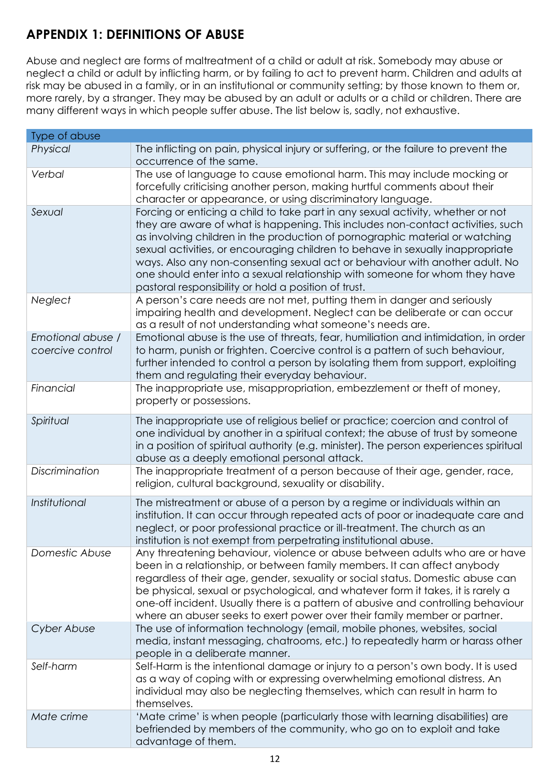## **APPENDIX 1: DEFINITIONS OF ABUSE**

Abuse and neglect are forms of maltreatment of a child or adult at risk. Somebody may abuse or neglect a child or adult by inflicting harm, or by failing to act to prevent harm. Children and adults at risk may be abused in a family, or in an institutional or community setting; by those known to them or, more rarely, by a stranger. They may be abused by an adult or adults or a child or children. There are many different ways in which people suffer abuse. The list below is, sadly, not exhaustive.

| Type of abuse                         |                                                                                                                                                                                                                                                                                                                                                                                                                                                                                                                                                             |
|---------------------------------------|-------------------------------------------------------------------------------------------------------------------------------------------------------------------------------------------------------------------------------------------------------------------------------------------------------------------------------------------------------------------------------------------------------------------------------------------------------------------------------------------------------------------------------------------------------------|
| Physical                              | The inflicting on pain, physical injury or suffering, or the failure to prevent the<br>occurrence of the same.                                                                                                                                                                                                                                                                                                                                                                                                                                              |
| Verbal                                | The use of language to cause emotional harm. This may include mocking or<br>forcefully criticising another person, making hurtful comments about their<br>character or appearance, or using discriminatory language.                                                                                                                                                                                                                                                                                                                                        |
| Sexual                                | Forcing or enticing a child to take part in any sexual activity, whether or not<br>they are aware of what is happening. This includes non-contact activities, such<br>as involving children in the production of pornographic material or watching<br>sexual activities, or encouraging children to behave in sexually inappropriate<br>ways. Also any non-consenting sexual act or behaviour with another adult. No<br>one should enter into a sexual relationship with someone for whom they have<br>pastoral responsibility or hold a position of trust. |
| Neglect                               | A person's care needs are not met, putting them in danger and seriously<br>impairing health and development. Neglect can be deliberate or can occur<br>as a result of not understanding what someone's needs are.                                                                                                                                                                                                                                                                                                                                           |
| Emotional abuse /<br>coercive control | Emotional abuse is the use of threats, fear, humiliation and intimidation, in order<br>to harm, punish or frighten. Coercive control is a pattern of such behaviour,<br>further intended to control a person by isolating them from support, exploiting<br>them and regulating their everyday behaviour.                                                                                                                                                                                                                                                    |
| Financial                             | The inappropriate use, misappropriation, embezzlement or theft of money,<br>property or possessions.                                                                                                                                                                                                                                                                                                                                                                                                                                                        |
| Spiritual                             | The inappropriate use of religious belief or practice; coercion and control of<br>one individual by another in a spiritual context; the abuse of trust by someone<br>in a position of spiritual authority (e.g. minister). The person experiences spiritual<br>abuse as a deeply emotional personal attack.                                                                                                                                                                                                                                                 |
| Discrimination                        | The inappropriate treatment of a person because of their age, gender, race,<br>religion, cultural background, sexuality or disability.                                                                                                                                                                                                                                                                                                                                                                                                                      |
| Institutional                         | The mistreatment or abuse of a person by a regime or individuals within an<br>institution. It can occur through repeated acts of poor or inadequate care and<br>neglect, or poor professional practice or ill-treatment. The church as an<br>institution is not exempt from perpetrating institutional abuse                                                                                                                                                                                                                                                |
| Domestic Abuse                        | Any threatening behaviour, violence or abuse between adults who are or have<br>been in a relationship, or between family members. It can affect anybody<br>regardless of their age, gender, sexuality or social status. Domestic abuse can<br>be physical, sexual or psychological, and whatever form it takes, it is rarely a<br>one-off incident. Usually there is a pattern of abusive and controlling behaviour<br>where an abuser seeks to exert power over their family member or partner.                                                            |
| Cyber Abuse                           | The use of information technology (email, mobile phones, websites, social<br>media, instant messaging, chatrooms, etc.) to repeatedly harm or harass other<br>people in a deliberate manner.                                                                                                                                                                                                                                                                                                                                                                |
| Self-harm                             | Self-Harm is the intentional damage or injury to a person's own body. It is used<br>as a way of coping with or expressing overwhelming emotional distress. An<br>individual may also be neglecting themselves, which can result in harm to<br>themselves.                                                                                                                                                                                                                                                                                                   |
| Mate crime                            | 'Mate crime' is when people (particularly those with learning disabilities) are<br>befriended by members of the community, who go on to exploit and take<br>advantage of them.                                                                                                                                                                                                                                                                                                                                                                              |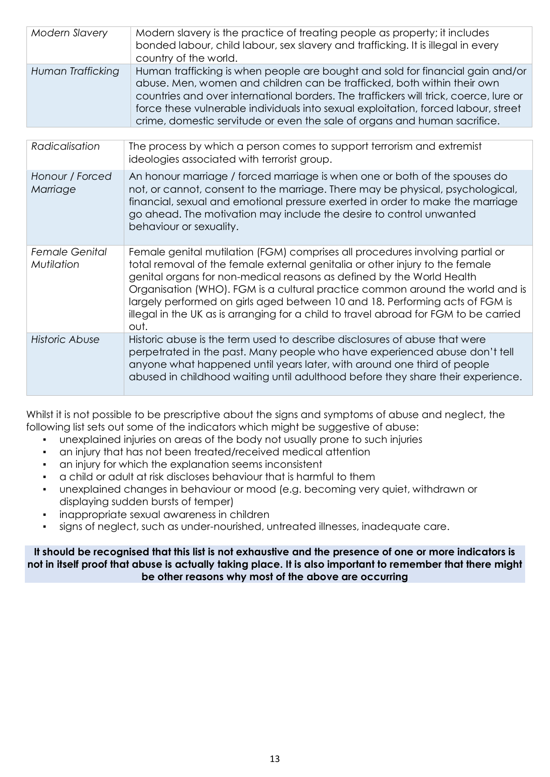| Modern Slavery    | Modern slavery is the practice of treating people as property; it includes<br>bonded labour, child labour, sex slavery and trafficking. It is illegal in every<br>country of the world.                                                                                                                                                                                                                               |
|-------------------|-----------------------------------------------------------------------------------------------------------------------------------------------------------------------------------------------------------------------------------------------------------------------------------------------------------------------------------------------------------------------------------------------------------------------|
| Human Trafficking | Human trafficking is when people are bought and sold for financial gain and/or<br>abuse. Men, women and children can be trafficked, both within their own<br>countries and over international borders. The traffickers will trick, coerce, lure or<br>force these vulnerable individuals into sexual exploitation, forced labour, street<br>crime, domestic servitude or even the sale of organs and human sacrifice. |

| Radicalisation                      | The process by which a person comes to support terrorism and extremist<br>ideologies associated with terrorist group.                                                                                                                                                                                                                                                                                                                                                                                   |
|-------------------------------------|---------------------------------------------------------------------------------------------------------------------------------------------------------------------------------------------------------------------------------------------------------------------------------------------------------------------------------------------------------------------------------------------------------------------------------------------------------------------------------------------------------|
| Honour / Forced<br>Marriage         | An honour marriage / forced marriage is when one or both of the spouses do<br>not, or cannot, consent to the marriage. There may be physical, psychological,<br>financial, sexual and emotional pressure exerted in order to make the marriage<br>go ahead. The motivation may include the desire to control unwanted<br>behaviour or sexuality.                                                                                                                                                        |
| <b>Female Genital</b><br>Mutilation | Female genital mutilation (FGM) comprises all procedures involving partial or<br>total removal of the female external genitalia or other injury to the female<br>genital organs for non-medical reasons as defined by the World Health<br>Organisation (WHO). FGM is a cultural practice common around the world and is<br>largely performed on girls aged between 10 and 18. Performing acts of FGM is<br>illegal in the UK as is arranging for a child to travel abroad for FGM to be carried<br>out. |
| Historic Abuse                      | Historic abuse is the term used to describe disclosures of abuse that were<br>perpetrated in the past. Many people who have experienced abuse don't tell<br>anyone what happened until years later, with around one third of people<br>abused in childhood waiting until adulthood before they share their experience.                                                                                                                                                                                  |

Whilst it is not possible to be prescriptive about the signs and symptoms of abuse and neglect, the following list sets out some of the indicators which might be suggestive of abuse:

- unexplained injuries on areas of the body not usually prone to such injuries
- an injury that has not been treated/received medical attention
- an injury for which the explanation seems inconsistent
- a child or adult at risk discloses behaviour that is harmful to them
- unexplained changes in behaviour or mood (e.g. becoming very quiet, withdrawn or displaying sudden bursts of temper)
- inappropriate sexual awareness in children
- signs of neglect, such as under-nourished, untreated illnesses, inadequate care.

**It should be recognised that this list is not exhaustive and the presence of one or more indicators is not in itself proof that abuse is actually taking place. It is also important to remember that there might be other reasons why most of the above are occurring**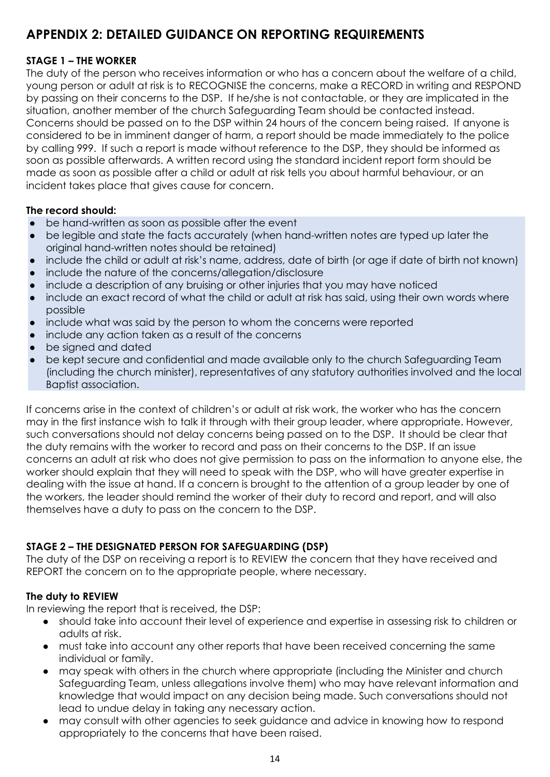## **APPENDIX 2: DETAILED GUIDANCE ON REPORTING REQUIREMENTS**

## **STAGE 1 – THE WORKER**

The duty of the person who receives information or who has a concern about the welfare of a child, young person or adult at risk is to RECOGNISE the concerns, make a RECORD in writing and RESPOND by passing on their concerns to the DSP. If he/she is not contactable, or they are implicated in the situation, another member of the church Safeguarding Team should be contacted instead. Concerns should be passed on to the DSP within 24 hours of the concern being raised. If anyone is considered to be in imminent danger of harm, a report should be made immediately to the police by calling 999. If such a report is made without reference to the DSP, they should be informed as soon as possible afterwards. A written record using the standard incident report form should be made as soon as possible after a child or adult at risk tells you about harmful behaviour, or an incident takes place that gives cause for concern.

#### **The record should:**

- be hand-written as soon as possible after the event
- be legible and state the facts accurately (when hand-written notes are typed up later the original hand-written notes should be retained)
- include the child or adult at risk's name, address, date of birth (or age if date of birth not known)
- include the nature of the concerns/allegation/disclosure
- include a description of any bruising or other injuries that you may have noticed
- include an exact record of what the child or adult at risk has said, using their own words where possible
- include what was said by the person to whom the concerns were reported
- include any action taken as a result of the concerns
- be signed and dated
- be kept secure and confidential and made available only to the church Safeguarding Team (including the church minister), representatives of any statutory authorities involved and the local Baptist association.

If concerns arise in the context of children's or adult at risk work, the worker who has the concern may in the first instance wish to talk it through with their group leader, where appropriate. However, such conversations should not delay concerns being passed on to the DSP. It should be clear that the duty remains with the worker to record and pass on their concerns to the DSP. If an issue concerns an adult at risk who does not give permission to pass on the information to anyone else, the worker should explain that they will need to speak with the DSP, who will have greater expertise in dealing with the issue at hand. If a concern is brought to the attention of a group leader by one of the workers, the leader should remind the worker of their duty to record and report, and will also themselves have a duty to pass on the concern to the DSP.

#### **STAGE 2 – THE DESIGNATED PERSON FOR SAFEGUARDING (DSP)**

The duty of the DSP on receiving a report is to REVIEW the concern that they have received and REPORT the concern on to the appropriate people, where necessary.

#### **The duty to REVIEW**

In reviewing the report that is received, the DSP:

- should take into account their level of experience and expertise in assessing risk to children or adults at risk.
- must take into account any other reports that have been received concerning the same individual or family.
- may speak with others in the church where appropriate (including the Minister and church Safeguarding Team, unless allegations involve them) who may have relevant information and knowledge that would impact on any decision being made. Such conversations should not lead to undue delay in taking any necessary action.
- may consult with other agencies to seek guidance and advice in knowing how to respond appropriately to the concerns that have been raised.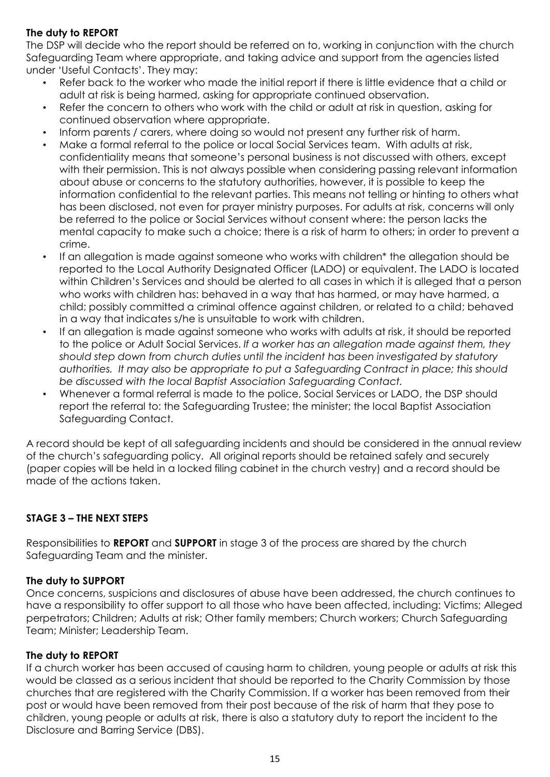## **The duty to REPORT**

The DSP will decide who the report should be referred on to, working in conjunction with the church Safeguarding Team where appropriate, and taking advice and support from the agencies listed under 'Useful Contacts'. They may:

- Refer back to the worker who made the initial report if there is little evidence that a child or adult at risk is being harmed, asking for appropriate continued observation.
- Refer the concern to others who work with the child or adult at risk in question, asking for continued observation where appropriate.
- Inform parents / carers, where doing so would not present any further risk of harm.
- Make a formal referral to the police or local Social Services team. With adults at risk, confidentiality means that someone's personal business is not discussed with others, except with their permission. This is not always possible when considering passing relevant information about abuse or concerns to the statutory authorities, however, it is possible to keep the information confidential to the relevant parties. This means not telling or hinting to others what has been disclosed, not even for prayer ministry purposes. For adults at risk, concerns will only be referred to the police or Social Services without consent where: the person lacks the mental capacity to make such a choice; there is a risk of harm to others; in order to prevent a crime.
- If an allegation is made against someone who works with children\* the allegation should be reported to the Local Authority Designated Officer (LADO) or equivalent. The LADO is located within Children's Services and should be alerted to all cases in which it is alleged that a person who works with children has: behaved in a way that has harmed, or may have harmed, a child; possibly committed a criminal offence against children, or related to a child; behaved in a way that indicates s/he is unsuitable to work with children.
- If an allegation is made against someone who works with adults at risk, it should be reported to the police or Adult Social Services. *If a worker has an allegation made against them, they should step down from church duties until the incident has been investigated by statutory authorities. It may also be appropriate to put a Safeguarding Contract in place; this should be discussed with the local Baptist Association Safeguarding Contact.*
- Whenever a formal referral is made to the police, Social Services or LADO, the DSP should report the referral to: the Safeguarding Trustee; the minister; the local Baptist Association Safeguarding Contact.

A record should be kept of all safeguarding incidents and should be considered in the annual review of the church's safeguarding policy. All original reports should be retained safely and securely (paper copies will be held in a locked filing cabinet in the church vestry) and a record should be made of the actions taken.

## **STAGE 3 – THE NEXT STEPS**

Responsibilities to **REPORT** and **SUPPORT** in stage 3 of the process are shared by the church Safeguarding Team and the minister.

#### **The duty to SUPPORT**

Once concerns, suspicions and disclosures of abuse have been addressed, the church continues to have a responsibility to offer support to all those who have been affected, including: Victims; Alleged perpetrators; Children; Adults at risk; Other family members; Church workers; Church Safeguarding Team; Minister; Leadership Team.

#### **The duty to REPORT**

If a church worker has been accused of causing harm to children, young people or adults at risk this would be classed as a serious incident that should be reported to the Charity Commission by those churches that are registered with the Charity Commission. If a worker has been removed from their post or would have been removed from their post because of the risk of harm that they pose to children, young people or adults at risk, there is also a statutory duty to report the incident to the Disclosure and Barring Service (DBS).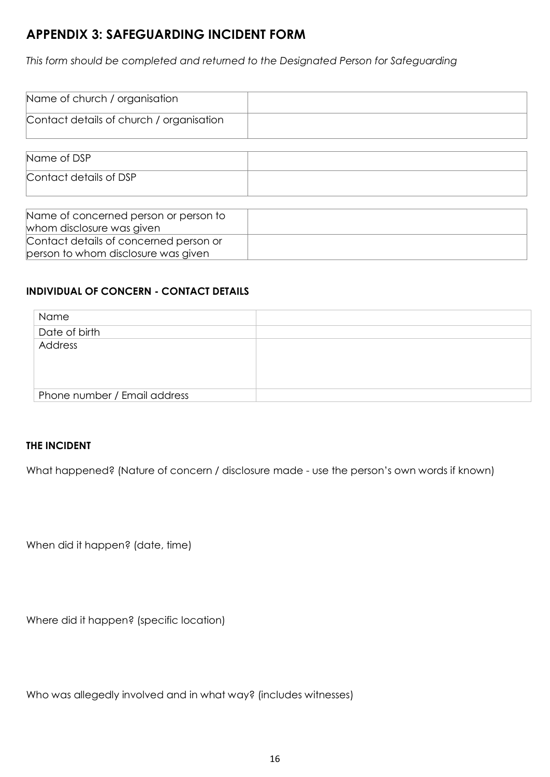## **APPENDIX 3: SAFEGUARDING INCIDENT FORM**

*This form should be completed and returned to the Designated Person for Safeguarding*

| Name of church / organisation            |  |
|------------------------------------------|--|
| Contact details of church / organisation |  |
|                                          |  |
| Name of DSP                              |  |
| Contact details of DSP                   |  |

| Name of concerned person or person to  |  |
|----------------------------------------|--|
| whom disclosure was given              |  |
| Contact details of concerned person or |  |
| person to whom disclosure was given    |  |

## **INDIVIDUAL OF CONCERN - CONTACT DETAILS**

| Name                         |  |
|------------------------------|--|
| Date of birth                |  |
| Address                      |  |
|                              |  |
|                              |  |
|                              |  |
| Phone number / Email address |  |

#### **THE INCIDENT**

What happened? (Nature of concern / disclosure made - use the person's own words if known)

When did it happen? (date, time)

Where did it happen? (specific location)

Who was allegedly involved and in what way? (includes witnesses)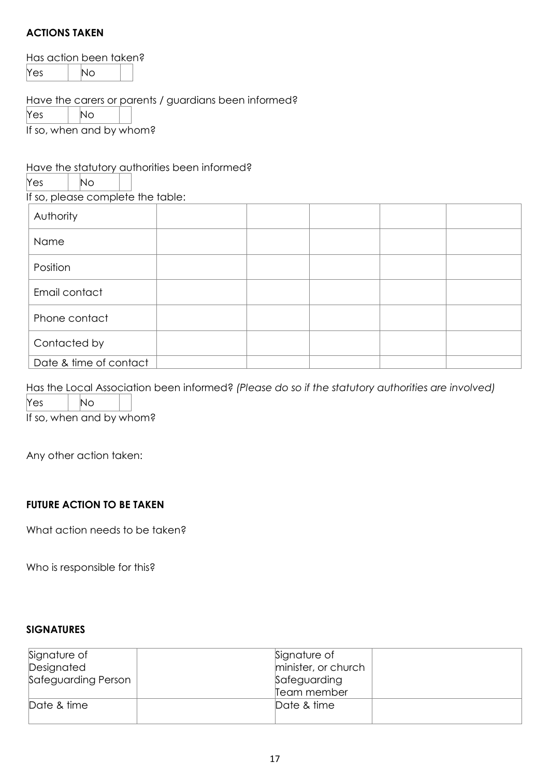## **ACTIONS TAKEN**

Has action been taken?

Yes | No

Have the carers or parents / guardians been informed?

 $Yes$   $| No$ 

If so, when and by whom?

## Have the statutory authorities been informed?

 $Yes$  |  $No$ If so, please complete the table:

| Authority     |  |  |
|---------------|--|--|
| Name          |  |  |
| Position      |  |  |
| Email contact |  |  |
| Phone contact |  |  |
| Contacted by  |  |  |

Has the Local Association been informed? *(Please do so if the statutory authorities are involved)*

 $\overline{Y}$ es  $\overline{Y}$  No

If so, when and by whom?

Date & time of contact

Any other action taken:

## **FUTURE ACTION TO BE TAKEN**

What action needs to be taken?

Who is responsible for this?

#### **SIGNATURES**

| Signature of        | Signature of        |  |
|---------------------|---------------------|--|
| Designated          | minister, or church |  |
| Safeguarding Person | Safeguarding        |  |
|                     | Team member         |  |
| Date & time         | Date & time         |  |
|                     |                     |  |